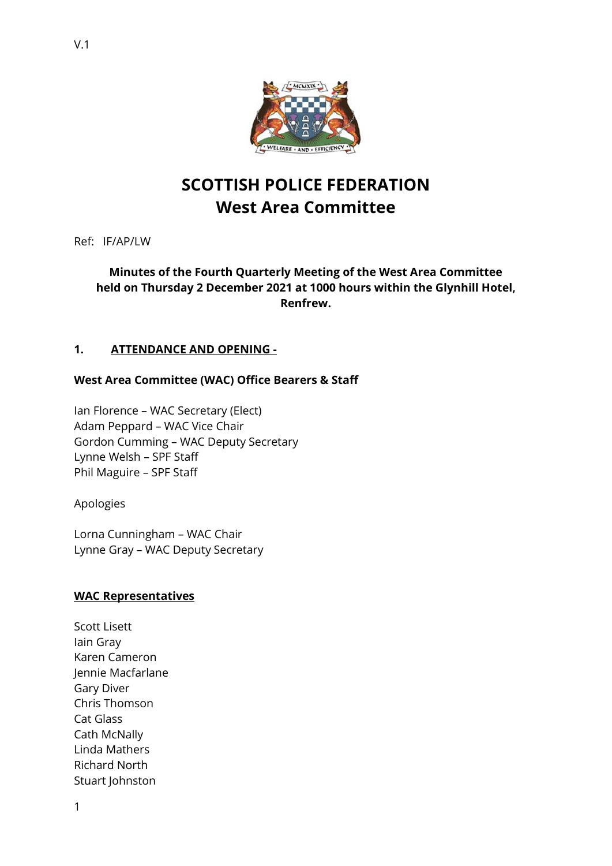

# **SCOTTISH POLICE FEDERATION West Area Committee**

Ref: IF/AP/LW

## **Minutes of the Fourth Quarterly Meeting of the West Area Committee held on Thursday 2 December 2021 at 1000 hours within the Glynhill Hotel, Renfrew.**

## **1. ATTENDANCE AND OPENING -**

## **West Area Committee (WAC) Office Bearers & Staff**

Ian Florence – WAC Secretary (Elect) Adam Peppard – WAC Vice Chair Gordon Cumming – WAC Deputy Secretary Lynne Welsh – SPF Staff Phil Maguire – SPF Staff

Apologies

Lorna Cunningham – WAC Chair Lynne Gray – WAC Deputy Secretary

## **WAC Representatives**

Scott Lisett Iain Gray Karen Cameron Jennie Macfarlane Gary Diver Chris Thomson Cat Glass Cath McNally Linda Mathers Richard North Stuart Johnston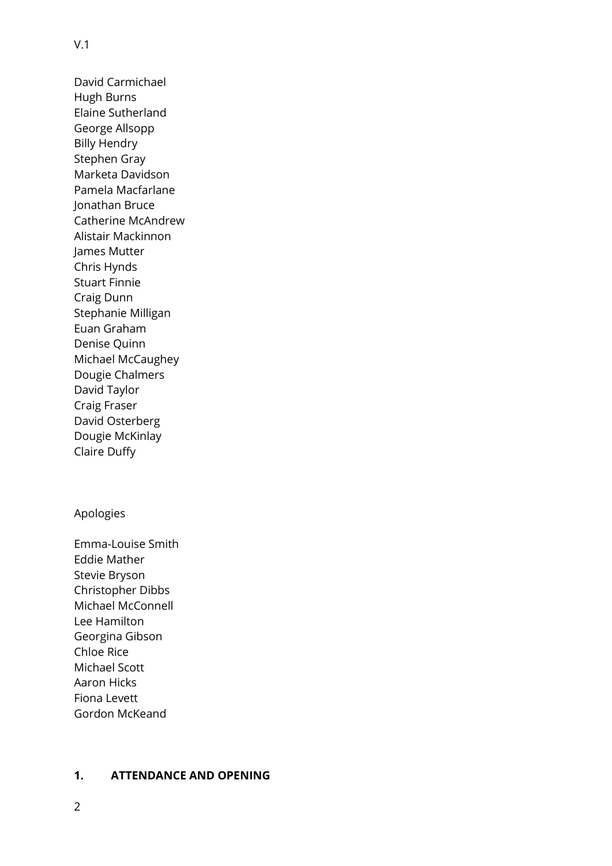David Carmichael Hugh Burns Elaine Sutherland George Allsopp Billy Hendry Stephen Gray Marketa Davidson Pamela Macfarlane Jonathan Bruce Catherine McAndrew Alistair Mackinnon James Mutter Chris Hynds Stuart Finnie Craig Dunn Stephanie Milligan Euan Graham Denise Quinn Michael McCaughey Dougie Chalmers David Taylor Craig Fraser David Osterberg Dougie McKinlay Claire Duffy

## Apologies

Emma-Louise Smith Eddie Mather Stevie Bryson Christopher Dibbs Michael McConnell Lee Hamilton Georgina Gibson Chloe Rice Michael Scott Aaron Hicks Fiona Levett Gordon McKeand

## **1. ATTENDANCE AND OPENING**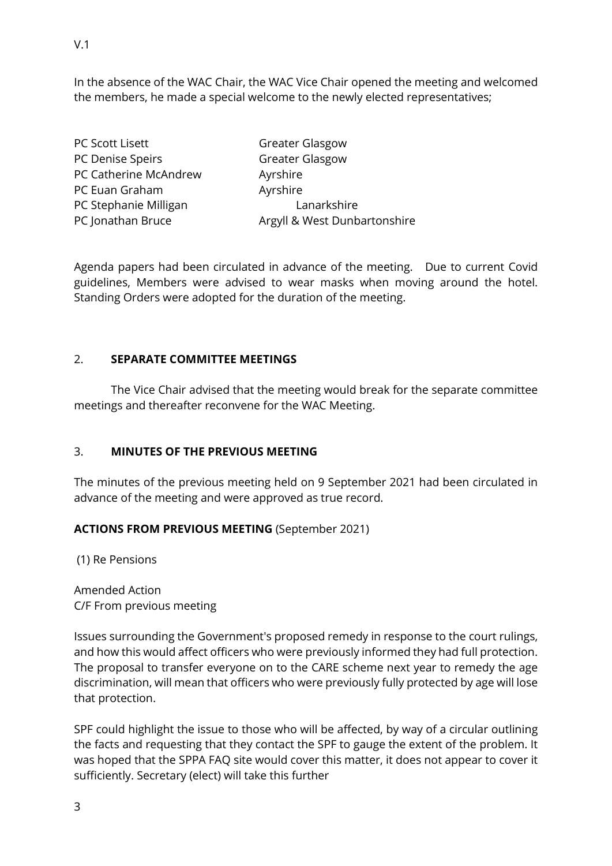In the absence of the WAC Chair, the WAC Vice Chair opened the meeting and welcomed the members, he made a special welcome to the newly elected representatives;

| PC Scott Lisett       | <b>Greater Glasgow</b>       |  |
|-----------------------|------------------------------|--|
| PC Denise Speirs      | <b>Greater Glasgow</b>       |  |
| PC Catherine McAndrew | Ayrshire                     |  |
| PC Euan Graham        | Ayrshire                     |  |
| PC Stephanie Milligan | Lanarkshire                  |  |
| PC Jonathan Bruce     | Argyll & West Dunbartonshire |  |

Agenda papers had been circulated in advance of the meeting. Due to current Covid guidelines, Members were advised to wear masks when moving around the hotel. Standing Orders were adopted for the duration of the meeting.

## 2. **SEPARATE COMMITTEE MEETINGS**

The Vice Chair advised that the meeting would break for the separate committee meetings and thereafter reconvene for the WAC Meeting.

## 3. **MINUTES OF THE PREVIOUS MEETING**

The minutes of the previous meeting held on 9 September 2021 had been circulated in advance of the meeting and were approved as true record.

## **ACTIONS FROM PREVIOUS MEETING** (September 2021)

(1) Re Pensions

Amended Action C/F From previous meeting

Issues surrounding the Government's proposed remedy in response to the court rulings, and how this would affect officers who were previously informed they had full protection. The proposal to transfer everyone on to the CARE scheme next year to remedy the age discrimination, will mean that officers who were previously fully protected by age will lose that protection.

SPF could highlight the issue to those who will be affected, by way of a circular outlining the facts and requesting that they contact the SPF to gauge the extent of the problem. It was hoped that the SPPA FAQ site would cover this matter, it does not appear to cover it sufficiently. Secretary (elect) will take this further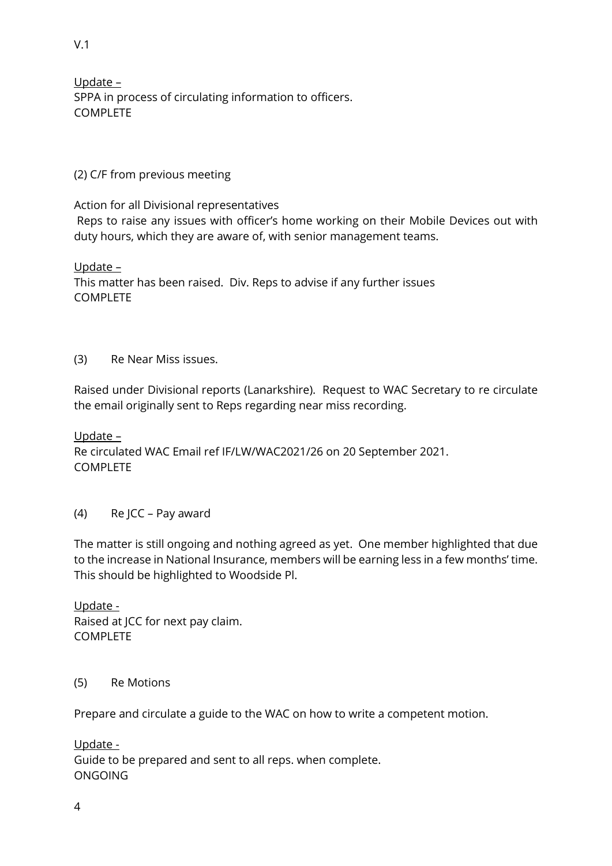Update – SPPA in process of circulating information to officers. COMPLETE

## (2) C/F from previous meeting

Action for all Divisional representatives Reps to raise any issues with officer's home working on their Mobile Devices out with duty hours, which they are aware of, with senior management teams.

Update –

This matter has been raised. Div. Reps to advise if any further issues COMPLETE

## (3) Re Near Miss issues.

Raised under Divisional reports (Lanarkshire). Request to WAC Secretary to re circulate the email originally sent to Reps regarding near miss recording.

Update – Re circulated WAC Email ref IF/LW/WAC2021/26 on 20 September 2021. COMPLETE

## (4) Re JCC – Pay award

The matter is still ongoing and nothing agreed as yet. One member highlighted that due to the increase in National Insurance, members will be earning less in a few months' time. This should be highlighted to Woodside Pl.

Update - Raised at JCC for next pay claim. COMPLETE

## (5) Re Motions

Prepare and circulate a guide to the WAC on how to write a competent motion.

Update - Guide to be prepared and sent to all reps. when complete. ONGOING

V.1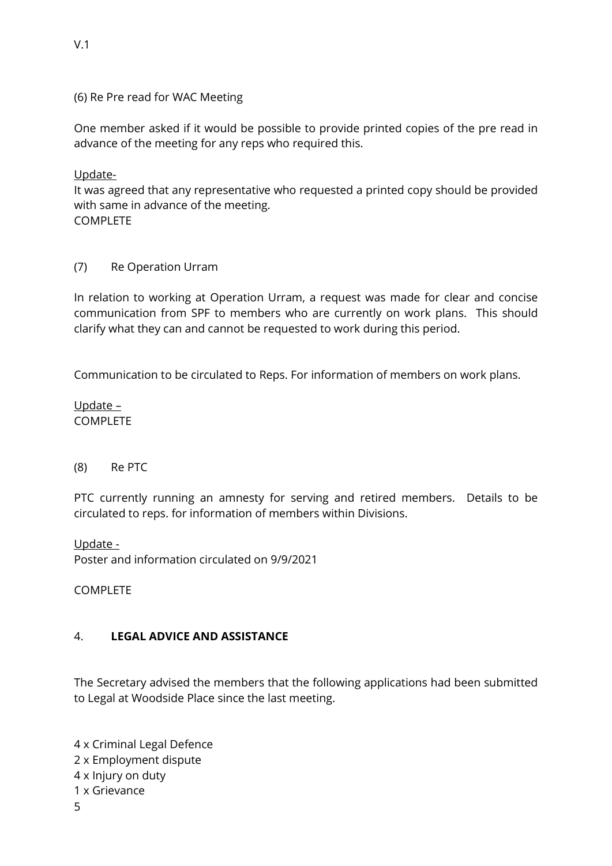(6) Re Pre read for WAC Meeting

One member asked if it would be possible to provide printed copies of the pre read in advance of the meeting for any reps who required this.

Update-

It was agreed that any representative who requested a printed copy should be provided with same in advance of the meeting. COMPLETE

(7) Re Operation Urram

In relation to working at Operation Urram, a request was made for clear and concise communication from SPF to members who are currently on work plans. This should clarify what they can and cannot be requested to work during this period.

Communication to be circulated to Reps. For information of members on work plans.

Update – COMPLETE

## (8) Re PTC

PTC currently running an amnesty for serving and retired members. Details to be circulated to reps. for information of members within Divisions.

Update - Poster and information circulated on 9/9/2021

COMPLETE

## 4. **LEGAL ADVICE AND ASSISTANCE**

The Secretary advised the members that the following applications had been submitted to Legal at Woodside Place since the last meeting.

5 4 x Criminal Legal Defence 2 x Employment dispute 4 x Injury on duty 1 x Grievance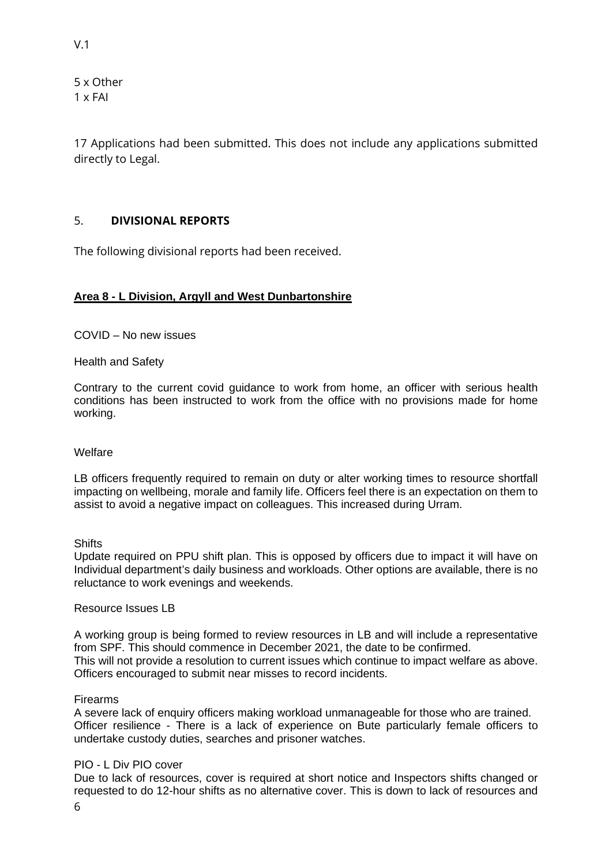5 x Other 1 x FAI

17 Applications had been submitted. This does not include any applications submitted directly to Legal.

## 5. **DIVISIONAL REPORTS**

The following divisional reports had been received.

## **Area 8 - L Division, Argyll and West Dunbartonshire**

COVID – No new issues

Health and Safety

Contrary to the current covid guidance to work from home, an officer with serious health conditions has been instructed to work from the office with no provisions made for home working.

#### Welfare

LB officers frequently required to remain on duty or alter working times to resource shortfall impacting on wellbeing, morale and family life. Officers feel there is an expectation on them to assist to avoid a negative impact on colleagues. This increased during Urram.

**Shifts** 

Update required on PPU shift plan. This is opposed by officers due to impact it will have on Individual department's daily business and workloads. Other options are available, there is no reluctance to work evenings and weekends.

#### Resource Issues LB

A working group is being formed to review resources in LB and will include a representative from SPF. This should commence in December 2021, the date to be confirmed. This will not provide a resolution to current issues which continue to impact welfare as above. Officers encouraged to submit near misses to record incidents.

#### Firearms

A severe lack of enquiry officers making workload unmanageable for those who are trained. Officer resilience - There is a lack of experience on Bute particularly female officers to undertake custody duties, searches and prisoner watches.

## PIO - L Div PIO cover

6 Due to lack of resources, cover is required at short notice and Inspectors shifts changed or requested to do 12-hour shifts as no alternative cover. This is down to lack of resources and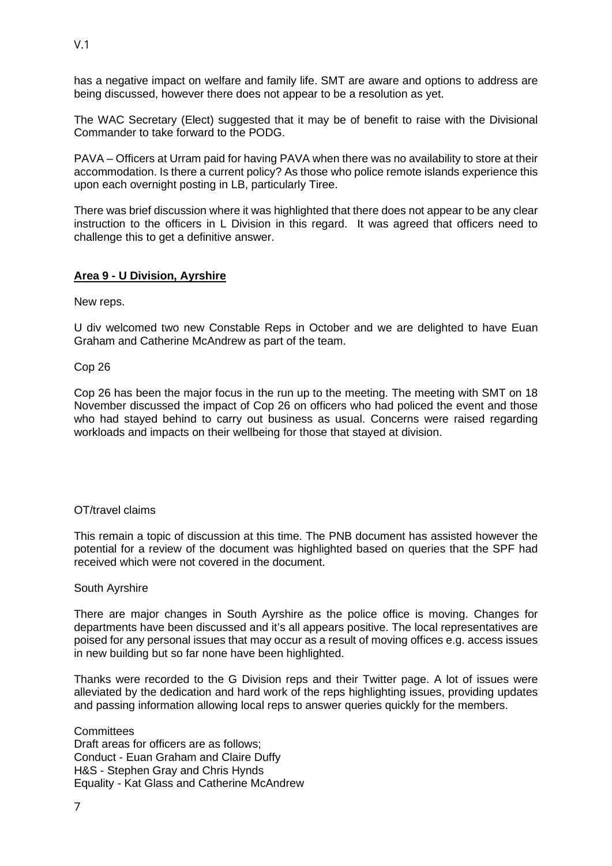has a negative impact on welfare and family life. SMT are aware and options to address are being discussed, however there does not appear to be a resolution as yet.

The WAC Secretary (Elect) suggested that it may be of benefit to raise with the Divisional Commander to take forward to the PODG.

PAVA – Officers at Urram paid for having PAVA when there was no availability to store at their accommodation. Is there a current policy? As those who police remote islands experience this upon each overnight posting in LB, particularly Tiree.

There was brief discussion where it was highlighted that there does not appear to be any clear instruction to the officers in L Division in this regard. It was agreed that officers need to challenge this to get a definitive answer.

## **Area 9 - U Division, Ayrshire**

New reps.

U div welcomed two new Constable Reps in October and we are delighted to have Euan Graham and Catherine McAndrew as part of the team.

Cop 26

Cop 26 has been the major focus in the run up to the meeting. The meeting with SMT on 18 November discussed the impact of Cop 26 on officers who had policed the event and those who had stayed behind to carry out business as usual. Concerns were raised regarding workloads and impacts on their wellbeing for those that stayed at division.

#### OT/travel claims

This remain a topic of discussion at this time. The PNB document has assisted however the potential for a review of the document was highlighted based on queries that the SPF had received which were not covered in the document.

#### South Ayrshire

There are major changes in South Ayrshire as the police office is moving. Changes for departments have been discussed and it's all appears positive. The local representatives are poised for any personal issues that may occur as a result of moving offices e.g. access issues in new building but so far none have been highlighted.

Thanks were recorded to the G Division reps and their Twitter page. A lot of issues were alleviated by the dedication and hard work of the reps highlighting issues, providing updates and passing information allowing local reps to answer queries quickly for the members.

**Committees** Draft areas for officers are as follows; Conduct - Euan Graham and Claire Duffy H&S - Stephen Gray and Chris Hynds Equality - Kat Glass and Catherine McAndrew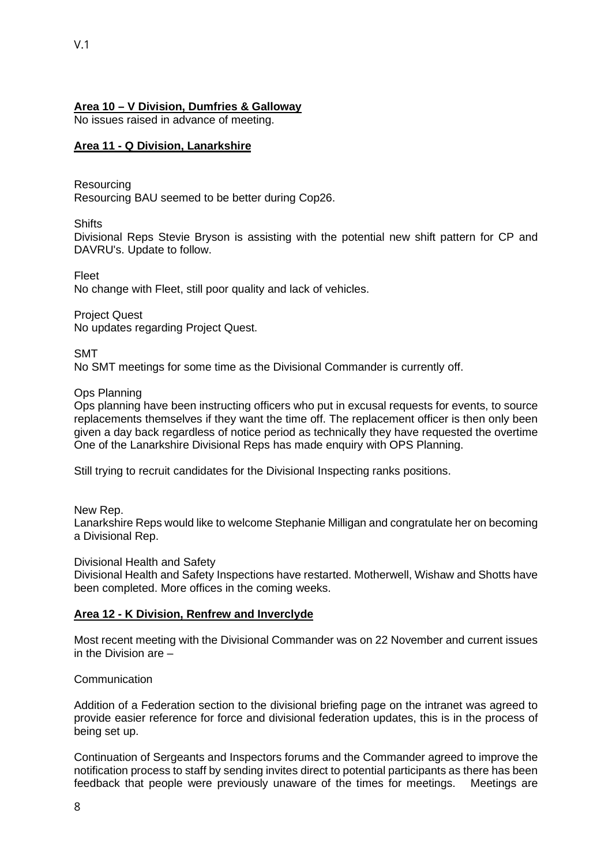## **Area 10 – V Division, Dumfries & Galloway**

No issues raised in advance of meeting.

#### **Area 11 - Q Division, Lanarkshire**

Resourcing

Resourcing BAU seemed to be better during Cop26.

**Shifts** 

Divisional Reps Stevie Bryson is assisting with the potential new shift pattern for CP and DAVRU's. Update to follow.

Fleet No change with Fleet, still poor quality and lack of vehicles.

Project Quest No updates regarding Project Quest.

SMT

No SMT meetings for some time as the Divisional Commander is currently off.

Ops Planning

Ops planning have been instructing officers who put in excusal requests for events, to source replacements themselves if they want the time off. The replacement officer is then only been given a day back regardless of notice period as technically they have requested the overtime One of the Lanarkshire Divisional Reps has made enquiry with OPS Planning.

Still trying to recruit candidates for the Divisional Inspecting ranks positions.

New Rep.

Lanarkshire Reps would like to welcome Stephanie Milligan and congratulate her on becoming a Divisional Rep.

Divisional Health and Safety

Divisional Health and Safety Inspections have restarted. Motherwell, Wishaw and Shotts have been completed. More offices in the coming weeks.

#### **Area 12 - K Division, Renfrew and Inverclyde**

Most recent meeting with the Divisional Commander was on 22 November and current issues in the Division are –

Communication

Addition of a Federation section to the divisional briefing page on the intranet was agreed to provide easier reference for force and divisional federation updates, this is in the process of being set up.

Continuation of Sergeants and Inspectors forums and the Commander agreed to improve the notification process to staff by sending invites direct to potential participants as there has been feedback that people were previously unaware of the times for meetings. Meetings are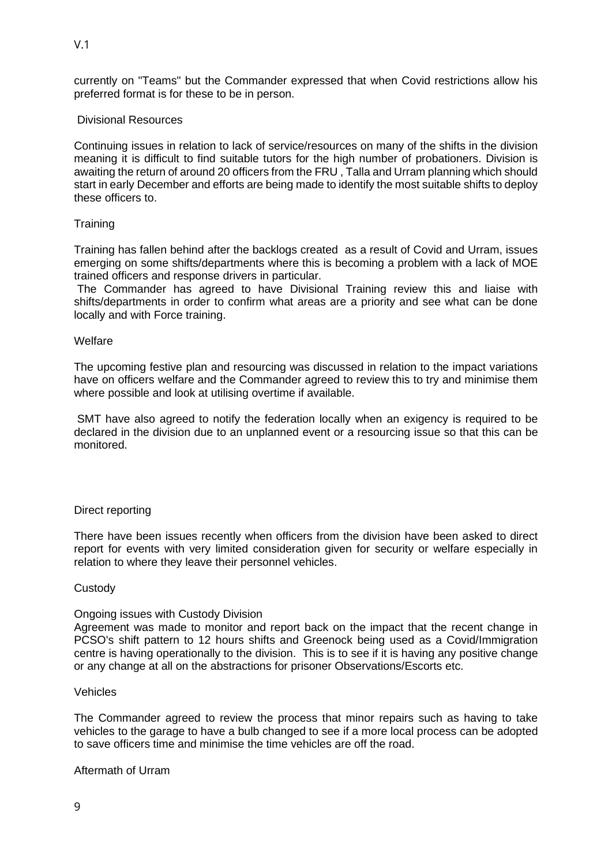currently on "Teams" but the Commander expressed that when Covid restrictions allow his preferred format is for these to be in person.

### Divisional Resources

Continuing issues in relation to lack of service/resources on many of the shifts in the division meaning it is difficult to find suitable tutors for the high number of probationers. Division is awaiting the return of around 20 officers from the FRU , Talla and Urram planning which should start in early December and efforts are being made to identify the most suitable shifts to deploy these officers to.

#### **Training**

Training has fallen behind after the backlogs created as a result of Covid and Urram, issues emerging on some shifts/departments where this is becoming a problem with a lack of MOE trained officers and response drivers in particular.

 The Commander has agreed to have Divisional Training review this and liaise with shifts/departments in order to confirm what areas are a priority and see what can be done locally and with Force training.

#### Welfare

The upcoming festive plan and resourcing was discussed in relation to the impact variations have on officers welfare and the Commander agreed to review this to try and minimise them where possible and look at utilising overtime if available.

 SMT have also agreed to notify the federation locally when an exigency is required to be declared in the division due to an unplanned event or a resourcing issue so that this can be monitored.

#### Direct reporting

There have been issues recently when officers from the division have been asked to direct report for events with very limited consideration given for security or welfare especially in relation to where they leave their personnel vehicles.

#### **Custody**

#### Ongoing issues with Custody Division

Agreement was made to monitor and report back on the impact that the recent change in PCSO's shift pattern to 12 hours shifts and Greenock being used as a Covid/Immigration centre is having operationally to the division. This is to see if it is having any positive change or any change at all on the abstractions for prisoner Observations/Escorts etc.

## Vehicles

The Commander agreed to review the process that minor repairs such as having to take vehicles to the garage to have a bulb changed to see if a more local process can be adopted to save officers time and minimise the time vehicles are off the road.

#### Aftermath of Urram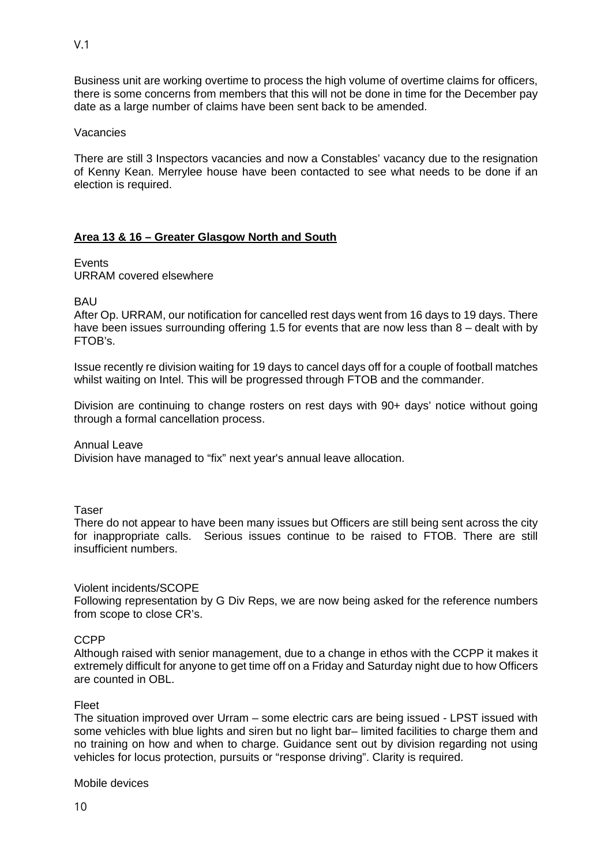Business unit are working overtime to process the high volume of overtime claims for officers, there is some concerns from members that this will not be done in time for the December pay date as a large number of claims have been sent back to be amended.

#### Vacancies

There are still 3 Inspectors vacancies and now a Constables' vacancy due to the resignation of Kenny Kean. Merrylee house have been contacted to see what needs to be done if an election is required.

## **Area 13 & 16 – Greater Glasgow North and South**

## **Events**

URRAM covered elsewhere

BAU

After Op. URRAM, our notification for cancelled rest days went from 16 days to 19 days. There have been issues surrounding offering 1.5 for events that are now less than 8 – dealt with by FTOB's.

Issue recently re division waiting for 19 days to cancel days off for a couple of football matches whilst waiting on Intel. This will be progressed through FTOB and the commander.

Division are continuing to change rosters on rest days with 90+ days' notice without going through a formal cancellation process.

Annual Leave

Division have managed to "fix" next year's annual leave allocation.

Taser

There do not appear to have been many issues but Officers are still being sent across the city for inappropriate calls. Serious issues continue to be raised to FTOB. There are still insufficient numbers.

## Violent incidents/SCOPE

Following representation by G Div Reps, we are now being asked for the reference numbers from scope to close CR's.

## CCPP

Although raised with senior management, due to a change in ethos with the CCPP it makes it extremely difficult for anyone to get time off on a Friday and Saturday night due to how Officers are counted in OBL.

## Fleet

The situation improved over Urram – some electric cars are being issued - LPST issued with some vehicles with blue lights and siren but no light bar– limited facilities to charge them and no training on how and when to charge. Guidance sent out by division regarding not using vehicles for locus protection, pursuits or "response driving". Clarity is required.

Mobile devices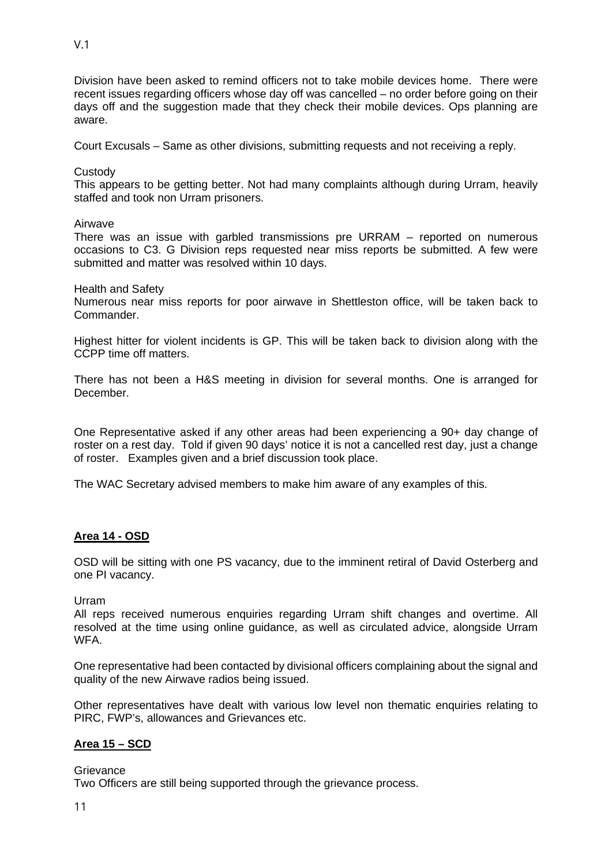V.1

Division have been asked to remind officers not to take mobile devices home. There were recent issues regarding officers whose day off was cancelled – no order before going on their days off and the suggestion made that they check their mobile devices. Ops planning are aware.

Court Excusals – Same as other divisions, submitting requests and not receiving a reply.

**Custody** 

This appears to be getting better. Not had many complaints although during Urram, heavily staffed and took non Urram prisoners.

Airwave

There was an issue with garbled transmissions pre URRAM – reported on numerous occasions to C3. G Division reps requested near miss reports be submitted. A few were submitted and matter was resolved within 10 days.

Health and Safety

Numerous near miss reports for poor airwave in Shettleston office, will be taken back to **Commander** 

Highest hitter for violent incidents is GP. This will be taken back to division along with the CCPP time off matters.

There has not been a H&S meeting in division for several months. One is arranged for December.

One Representative asked if any other areas had been experiencing a 90+ day change of roster on a rest day. Told if given 90 days' notice it is not a cancelled rest day, just a change of roster. Examples given and a brief discussion took place.

The WAC Secretary advised members to make him aware of any examples of this.

## **Area 14 - OSD**

OSD will be sitting with one PS vacancy, due to the imminent retiral of David Osterberg and one PI vacancy.

Urram

All reps received numerous enquiries regarding Urram shift changes and overtime. All resolved at the time using online guidance, as well as circulated advice, alongside Urram WFA.

One representative had been contacted by divisional officers complaining about the signal and quality of the new Airwave radios being issued.

Other representatives have dealt with various low level non thematic enquiries relating to PIRC, FWP's, allowances and Grievances etc.

## **Area 15 – SCD**

**Grievance** 

Two Officers are still being supported through the grievance process.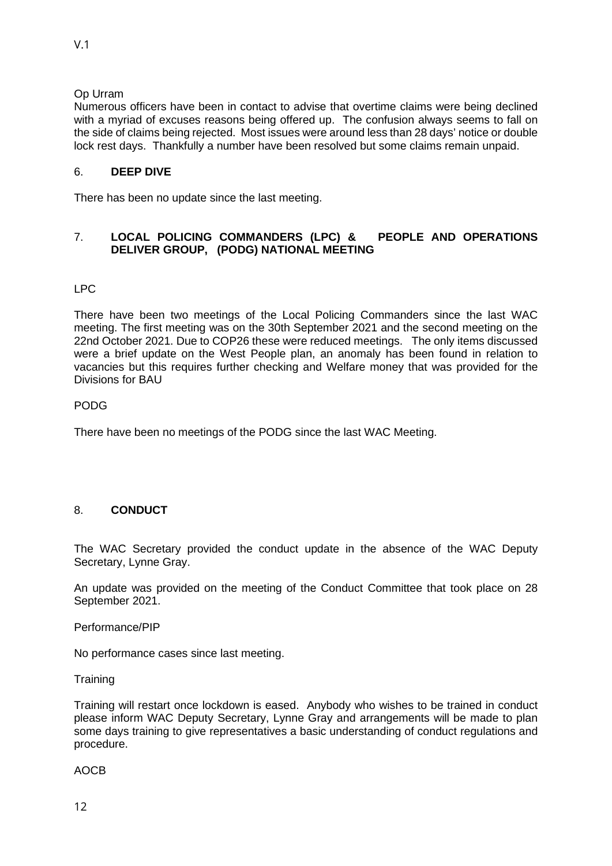## Op Urram

Numerous officers have been in contact to advise that overtime claims were being declined with a myriad of excuses reasons being offered up. The confusion always seems to fall on the side of claims being rejected. Most issues were around less than 28 days' notice or double lock rest days. Thankfully a number have been resolved but some claims remain unpaid.

## 6. **DEEP DIVE**

There has been no update since the last meeting.

## 7. **LOCAL POLICING COMMANDERS (LPC) & PEOPLE AND OPERATIONS DELIVER GROUP, (PODG) NATIONAL MEETING**

## LPC

There have been two meetings of the Local Policing Commanders since the last WAC meeting. The first meeting was on the 30th September 2021 and the second meeting on the 22nd October 2021. Due to COP26 these were reduced meetings. The only items discussed were a brief update on the West People plan, an anomaly has been found in relation to vacancies but this requires further checking and Welfare money that was provided for the Divisions for BAU

## PODG

There have been no meetings of the PODG since the last WAC Meeting.

## 8. **CONDUCT**

The WAC Secretary provided the conduct update in the absence of the WAC Deputy Secretary, Lynne Gray.

An update was provided on the meeting of the Conduct Committee that took place on 28 September 2021.

Performance/PIP

No performance cases since last meeting.

**Training** 

Training will restart once lockdown is eased. Anybody who wishes to be trained in conduct please inform WAC Deputy Secretary, Lynne Gray and arrangements will be made to plan some days training to give representatives a basic understanding of conduct regulations and procedure.

AOCB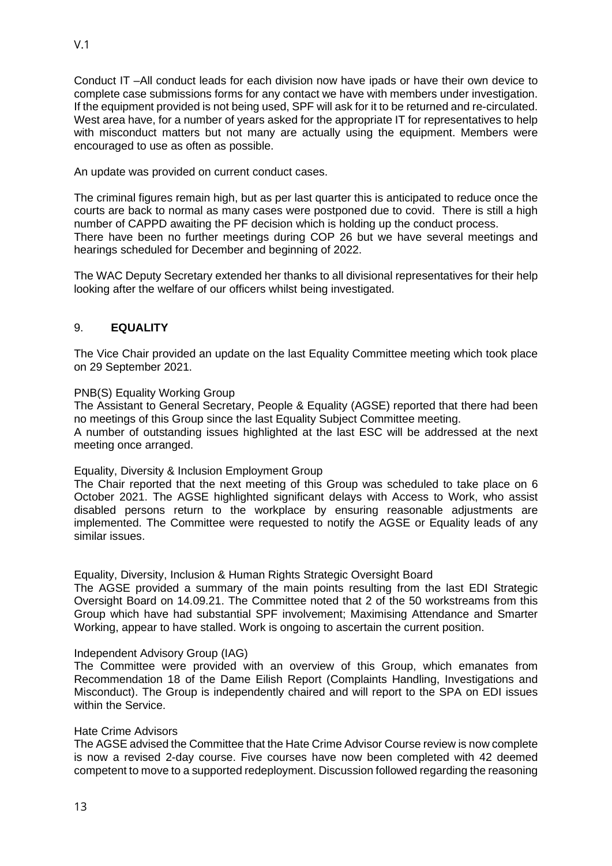Conduct IT –All conduct leads for each division now have ipads or have their own device to complete case submissions forms for any contact we have with members under investigation. If the equipment provided is not being used, SPF will ask for it to be returned and re-circulated. West area have, for a number of years asked for the appropriate IT for representatives to help with misconduct matters but not many are actually using the equipment. Members were encouraged to use as often as possible.

An update was provided on current conduct cases.

The criminal figures remain high, but as per last quarter this is anticipated to reduce once the courts are back to normal as many cases were postponed due to covid. There is still a high number of CAPPD awaiting the PF decision which is holding up the conduct process. There have been no further meetings during COP 26 but we have several meetings and hearings scheduled for December and beginning of 2022.

The WAC Deputy Secretary extended her thanks to all divisional representatives for their help looking after the welfare of our officers whilst being investigated.

## 9. **EQUALITY**

The Vice Chair provided an update on the last Equality Committee meeting which took place on 29 September 2021.

#### PNB(S) Equality Working Group

The Assistant to General Secretary, People & Equality (AGSE) reported that there had been no meetings of this Group since the last Equality Subject Committee meeting. A number of outstanding issues highlighted at the last ESC will be addressed at the next meeting once arranged.

## Equality, Diversity & Inclusion Employment Group

The Chair reported that the next meeting of this Group was scheduled to take place on 6 October 2021. The AGSE highlighted significant delays with Access to Work, who assist disabled persons return to the workplace by ensuring reasonable adjustments are implemented. The Committee were requested to notify the AGSE or Equality leads of any similar issues.

Equality, Diversity, Inclusion & Human Rights Strategic Oversight Board

The AGSE provided a summary of the main points resulting from the last EDI Strategic Oversight Board on 14.09.21. The Committee noted that 2 of the 50 workstreams from this Group which have had substantial SPF involvement; Maximising Attendance and Smarter Working, appear to have stalled. Work is ongoing to ascertain the current position.

#### Independent Advisory Group (IAG)

The Committee were provided with an overview of this Group, which emanates from Recommendation 18 of the Dame Eilish Report (Complaints Handling, Investigations and Misconduct). The Group is independently chaired and will report to the SPA on EDI issues within the Service.

## Hate Crime Advisors

The AGSE advised the Committee that the Hate Crime Advisor Course review is now complete is now a revised 2-day course. Five courses have now been completed with 42 deemed competent to move to a supported redeployment. Discussion followed regarding the reasoning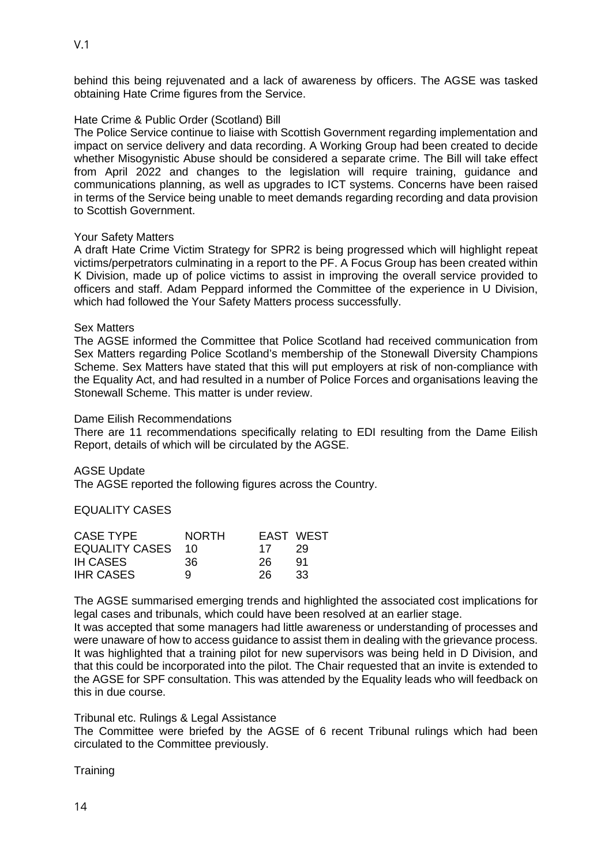behind this being rejuvenated and a lack of awareness by officers. The AGSE was tasked obtaining Hate Crime figures from the Service.

## Hate Crime & Public Order (Scotland) Bill

The Police Service continue to liaise with Scottish Government regarding implementation and impact on service delivery and data recording. A Working Group had been created to decide whether Misogynistic Abuse should be considered a separate crime. The Bill will take effect from April 2022 and changes to the legislation will require training, guidance and communications planning, as well as upgrades to ICT systems. Concerns have been raised in terms of the Service being unable to meet demands regarding recording and data provision to Scottish Government.

## Your Safety Matters

A draft Hate Crime Victim Strategy for SPR2 is being progressed which will highlight repeat victims/perpetrators culminating in a report to the PF. A Focus Group has been created within K Division, made up of police victims to assist in improving the overall service provided to officers and staff. Adam Peppard informed the Committee of the experience in U Division, which had followed the Your Safety Matters process successfully.

## Sex Matters

The AGSE informed the Committee that Police Scotland had received communication from Sex Matters regarding Police Scotland's membership of the Stonewall Diversity Champions Scheme. Sex Matters have stated that this will put employers at risk of non-compliance with the Equality Act, and had resulted in a number of Police Forces and organisations leaving the Stonewall Scheme. This matter is under review.

## Dame Eilish Recommendations

There are 11 recommendations specifically relating to EDI resulting from the Dame Eilish Report, details of which will be circulated by the AGSE.

AGSE Update

The AGSE reported the following figures across the Country.

EQUALITY CASES

| <b>CASE TYPE</b>  | <b>NORTH</b> |     | EAST WEST |
|-------------------|--------------|-----|-----------|
| EQUALITY CASES 10 |              | 17  | -29       |
| <b>IH CASES</b>   | -36.         | 26. | -91       |
| <b>IHR CASES</b>  | q            | 26. | 33        |

The AGSE summarised emerging trends and highlighted the associated cost implications for legal cases and tribunals, which could have been resolved at an earlier stage.

It was accepted that some managers had little awareness or understanding of processes and were unaware of how to access guidance to assist them in dealing with the grievance process. It was highlighted that a training pilot for new supervisors was being held in D Division, and that this could be incorporated into the pilot. The Chair requested that an invite is extended to the AGSE for SPF consultation. This was attended by the Equality leads who will feedback on this in due course.

## Tribunal etc. Rulings & Legal Assistance

The Committee were briefed by the AGSE of 6 recent Tribunal rulings which had been circulated to the Committee previously.

**Training**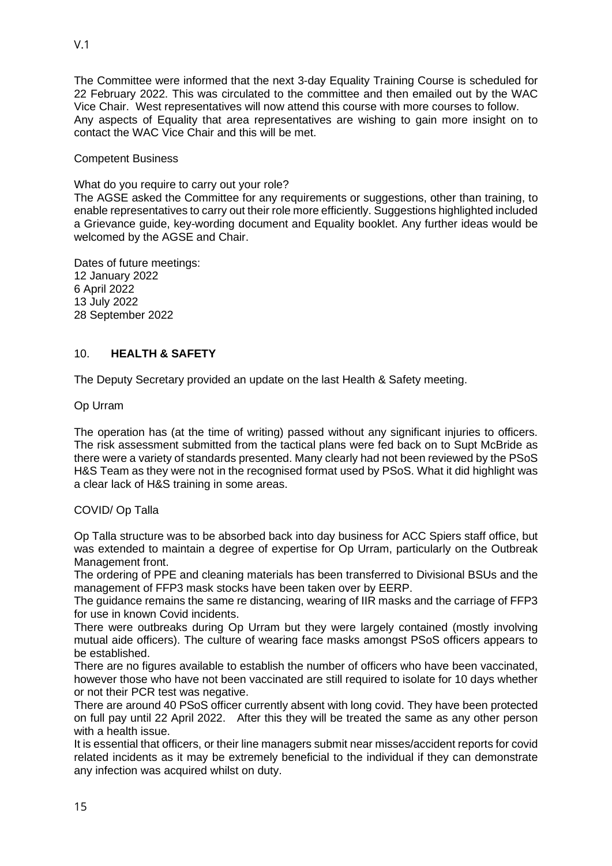The Committee were informed that the next 3-day Equality Training Course is scheduled for 22 February 2022. This was circulated to the committee and then emailed out by the WAC Vice Chair. West representatives will now attend this course with more courses to follow. Any aspects of Equality that area representatives are wishing to gain more insight on to contact the WAC Vice Chair and this will be met.

## Competent Business

What do you require to carry out your role?

The AGSE asked the Committee for any requirements or suggestions, other than training, to enable representatives to carry out their role more efficiently. Suggestions highlighted included a Grievance guide, key-wording document and Equality booklet. Any further ideas would be welcomed by the AGSE and Chair.

Dates of future meetings: 12 January 2022 6 April 2022 13 July 2022 28 September 2022

## 10. **HEALTH & SAFETY**

The Deputy Secretary provided an update on the last Health & Safety meeting.

Op Urram

The operation has (at the time of writing) passed without any significant injuries to officers. The risk assessment submitted from the tactical plans were fed back on to Supt McBride as there were a variety of standards presented. Many clearly had not been reviewed by the PSoS H&S Team as they were not in the recognised format used by PSoS. What it did highlight was a clear lack of H&S training in some areas.

## COVID/ Op Talla

Op Talla structure was to be absorbed back into day business for ACC Spiers staff office, but was extended to maintain a degree of expertise for Op Urram, particularly on the Outbreak Management front.

The ordering of PPE and cleaning materials has been transferred to Divisional BSUs and the management of FFP3 mask stocks have been taken over by EERP.

The guidance remains the same re distancing, wearing of IIR masks and the carriage of FFP3 for use in known Covid incidents.

There were outbreaks during Op Urram but they were largely contained (mostly involving mutual aide officers). The culture of wearing face masks amongst PSoS officers appears to be established.

There are no figures available to establish the number of officers who have been vaccinated, however those who have not been vaccinated are still required to isolate for 10 days whether or not their PCR test was negative.

There are around 40 PSoS officer currently absent with long covid. They have been protected on full pay until 22 April 2022. After this they will be treated the same as any other person with a health issue.

It is essential that officers, or their line managers submit near misses/accident reports for covid related incidents as it may be extremely beneficial to the individual if they can demonstrate any infection was acquired whilst on duty.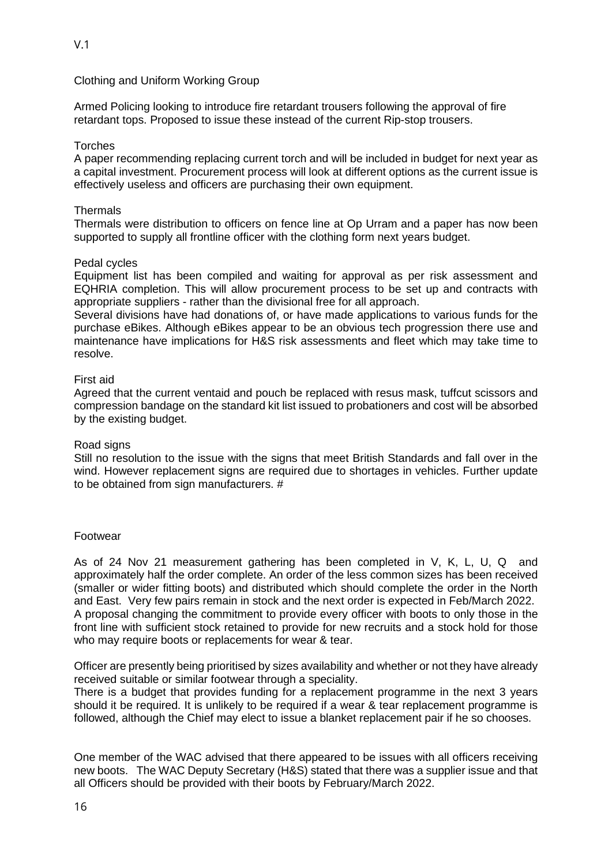Clothing and Uniform Working Group

Armed Policing looking to introduce fire retardant trousers following the approval of fire retardant tops. Proposed to issue these instead of the current Rip-stop trousers.

### Torches

A paper recommending replacing current torch and will be included in budget for next year as a capital investment. Procurement process will look at different options as the current issue is effectively useless and officers are purchasing their own equipment.

#### **Thermals**

Thermals were distribution to officers on fence line at Op Urram and a paper has now been supported to supply all frontline officer with the clothing form next years budget.

#### Pedal cycles

Equipment list has been compiled and waiting for approval as per risk assessment and EQHRIA completion. This will allow procurement process to be set up and contracts with appropriate suppliers - rather than the divisional free for all approach.

Several divisions have had donations of, or have made applications to various funds for the purchase eBikes. Although eBikes appear to be an obvious tech progression there use and maintenance have implications for H&S risk assessments and fleet which may take time to resolve.

## First aid

Agreed that the current ventaid and pouch be replaced with resus mask, tuffcut scissors and compression bandage on the standard kit list issued to probationers and cost will be absorbed by the existing budget.

#### Road signs

Still no resolution to the issue with the signs that meet British Standards and fall over in the wind. However replacement signs are required due to shortages in vehicles. Further update to be obtained from sign manufacturers. #

#### Footwear

As of 24 Nov 21 measurement gathering has been completed in V, K, L, U, Q and approximately half the order complete. An order of the less common sizes has been received (smaller or wider fitting boots) and distributed which should complete the order in the North and East. Very few pairs remain in stock and the next order is expected in Feb/March 2022. A proposal changing the commitment to provide every officer with boots to only those in the front line with sufficient stock retained to provide for new recruits and a stock hold for those who may require boots or replacements for wear & tear.

Officer are presently being prioritised by sizes availability and whether or not they have already received suitable or similar footwear through a speciality.

There is a budget that provides funding for a replacement programme in the next 3 years should it be required. It is unlikely to be required if a wear & tear replacement programme is followed, although the Chief may elect to issue a blanket replacement pair if he so chooses.

One member of the WAC advised that there appeared to be issues with all officers receiving new boots. The WAC Deputy Secretary (H&S) stated that there was a supplier issue and that all Officers should be provided with their boots by February/March 2022.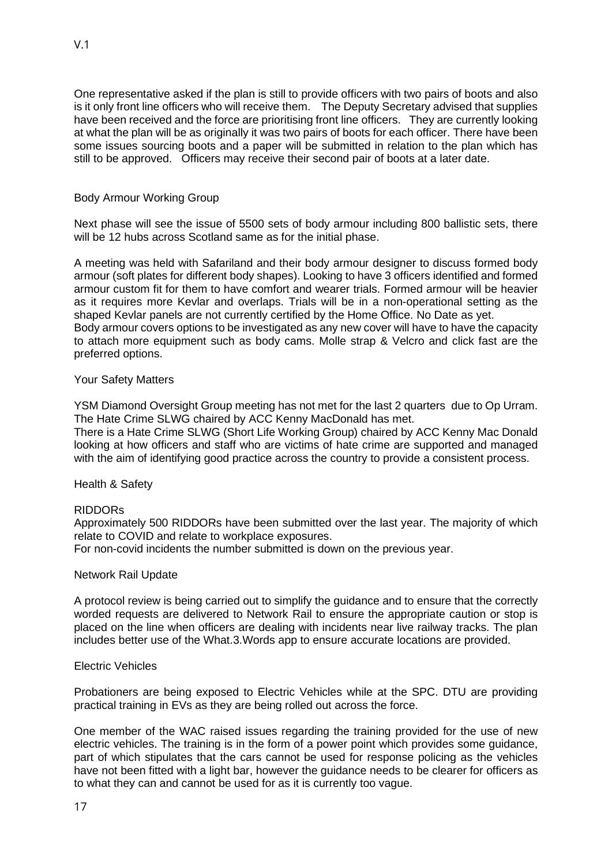One representative asked if the plan is still to provide officers with two pairs of boots and also is it only front line officers who will receive them. The Deputy Secretary advised that supplies have been received and the force are prioritising front line officers. They are currently looking at what the plan will be as originally it was two pairs of boots for each officer. There have been some issues sourcing boots and a paper will be submitted in relation to the plan which has still to be approved. Officers may receive their second pair of boots at a later date.

## Body Armour Working Group

Next phase will see the issue of 5500 sets of body armour including 800 ballistic sets, there will be 12 hubs across Scotland same as for the initial phase.

A meeting was held with Safariland and their body armour designer to discuss formed body armour (soft plates for different body shapes). Looking to have 3 officers identified and formed armour custom fit for them to have comfort and wearer trials. Formed armour will be heavier as it requires more Kevlar and overlaps. Trials will be in a non-operational setting as the shaped Kevlar panels are not currently certified by the Home Office. No Date as yet. Body armour covers options to be investigated as any new cover will have to have the capacity to attach more equipment such as body cams. Molle strap & Velcro and click fast are the preferred options.

## Your Safety Matters

YSM Diamond Oversight Group meeting has not met for the last 2 quarters due to Op Urram. The Hate Crime SLWG chaired by ACC Kenny MacDonald has met.

There is a Hate Crime SLWG (Short Life Working Group) chaired by ACC Kenny Mac Donald looking at how officers and staff who are victims of hate crime are supported and managed with the aim of identifying good practice across the country to provide a consistent process.

## Health & Safety

#### RIDDORs

Approximately 500 RIDDORs have been submitted over the last year. The majority of which relate to COVID and relate to workplace exposures.

For non-covid incidents the number submitted is down on the previous year.

#### Network Rail Update

A protocol review is being carried out to simplify the guidance and to ensure that the correctly worded requests are delivered to Network Rail to ensure the appropriate caution or stop is placed on the line when officers are dealing with incidents near live railway tracks. The plan includes better use of the What.3.Words app to ensure accurate locations are provided.

#### Electric Vehicles

Probationers are being exposed to Electric Vehicles while at the SPC. DTU are providing practical training in EVs as they are being rolled out across the force.

One member of the WAC raised issues regarding the training provided for the use of new electric vehicles. The training is in the form of a power point which provides some guidance, part of which stipulates that the cars cannot be used for response policing as the vehicles have not been fitted with a light bar, however the guidance needs to be clearer for officers as to what they can and cannot be used for as it is currently too vague.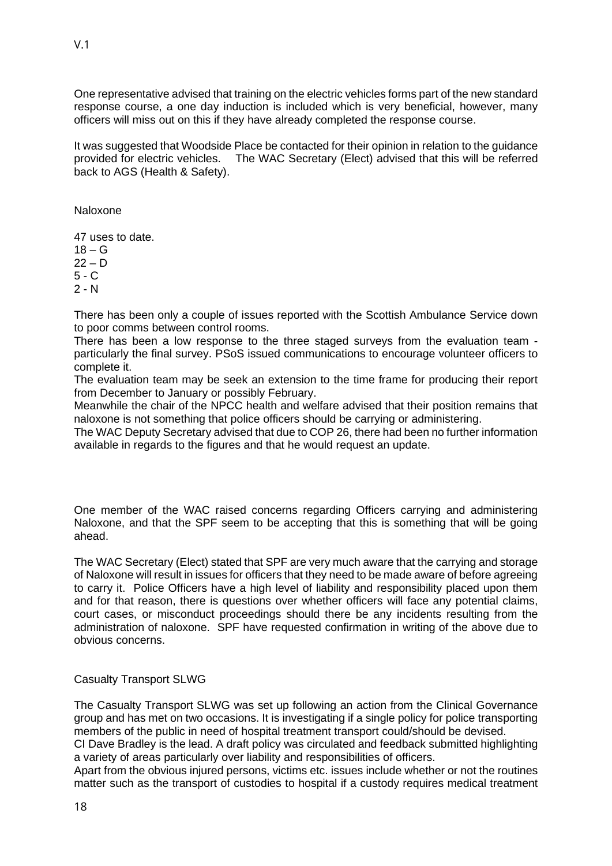One representative advised that training on the electric vehicles forms part of the new standard response course, a one day induction is included which is very beneficial, however, many officers will miss out on this if they have already completed the response course.

It was suggested that Woodside Place be contacted for their opinion in relation to the guidance provided for electric vehicles. The WAC Secretary (Elect) advised that this will be referred back to AGS (Health & Safety).

Naloxone

47 uses to date.  $18 - G$  $22 - D$ 

5 - C

 $2 - N$ 

There has been only a couple of issues reported with the Scottish Ambulance Service down to poor comms between control rooms.

There has been a low response to the three staged surveys from the evaluation team particularly the final survey. PSoS issued communications to encourage volunteer officers to complete it.

The evaluation team may be seek an extension to the time frame for producing their report from December to January or possibly February.

Meanwhile the chair of the NPCC health and welfare advised that their position remains that naloxone is not something that police officers should be carrying or administering.

The WAC Deputy Secretary advised that due to COP 26, there had been no further information available in regards to the figures and that he would request an update.

One member of the WAC raised concerns regarding Officers carrying and administering Naloxone, and that the SPF seem to be accepting that this is something that will be going ahead.

The WAC Secretary (Elect) stated that SPF are very much aware that the carrying and storage of Naloxone will result in issues for officers that they need to be made aware of before agreeing to carry it. Police Officers have a high level of liability and responsibility placed upon them and for that reason, there is questions over whether officers will face any potential claims, court cases, or misconduct proceedings should there be any incidents resulting from the administration of naloxone. SPF have requested confirmation in writing of the above due to obvious concerns.

#### Casualty Transport SLWG

The Casualty Transport SLWG was set up following an action from the Clinical Governance group and has met on two occasions. It is investigating if a single policy for police transporting members of the public in need of hospital treatment transport could/should be devised.

CI Dave Bradley is the lead. A draft policy was circulated and feedback submitted highlighting a variety of areas particularly over liability and responsibilities of officers.

Apart from the obvious injured persons, victims etc. issues include whether or not the routines matter such as the transport of custodies to hospital if a custody requires medical treatment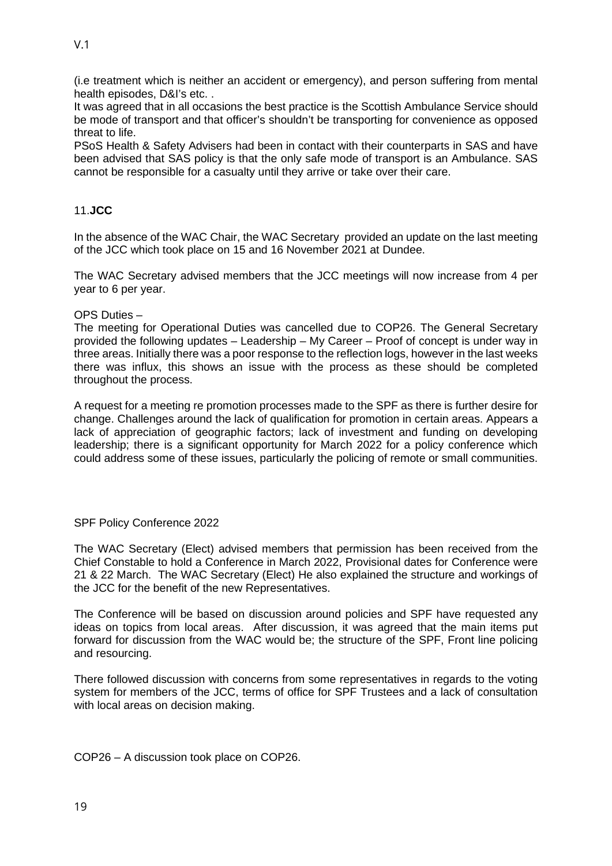(i.e treatment which is neither an accident or emergency), and person suffering from mental health episodes, D&I's etc..

It was agreed that in all occasions the best practice is the Scottish Ambulance Service should be mode of transport and that officer's shouldn't be transporting for convenience as opposed threat to life.

PSoS Health & Safety Advisers had been in contact with their counterparts in SAS and have been advised that SAS policy is that the only safe mode of transport is an Ambulance. SAS cannot be responsible for a casualty until they arrive or take over their care.

## 11.**JCC**

In the absence of the WAC Chair, the WAC Secretary provided an update on the last meeting of the JCC which took place on 15 and 16 November 2021 at Dundee.

The WAC Secretary advised members that the JCC meetings will now increase from 4 per year to 6 per year.

#### OPS Duties –

The meeting for Operational Duties was cancelled due to COP26. The General Secretary provided the following updates – Leadership – My Career – Proof of concept is under way in three areas. Initially there was a poor response to the reflection logs, however in the last weeks there was influx, this shows an issue with the process as these should be completed throughout the process.

A request for a meeting re promotion processes made to the SPF as there is further desire for change. Challenges around the lack of qualification for promotion in certain areas. Appears a lack of appreciation of geographic factors; lack of investment and funding on developing leadership; there is a significant opportunity for March 2022 for a policy conference which could address some of these issues, particularly the policing of remote or small communities.

#### SPF Policy Conference 2022

The WAC Secretary (Elect) advised members that permission has been received from the Chief Constable to hold a Conference in March 2022, Provisional dates for Conference were 21 & 22 March. The WAC Secretary (Elect) He also explained the structure and workings of the JCC for the benefit of the new Representatives.

The Conference will be based on discussion around policies and SPF have requested any ideas on topics from local areas. After discussion, it was agreed that the main items put forward for discussion from the WAC would be; the structure of the SPF, Front line policing and resourcing.

There followed discussion with concerns from some representatives in regards to the voting system for members of the JCC, terms of office for SPF Trustees and a lack of consultation with local areas on decision making.

COP26 – A discussion took place on COP26.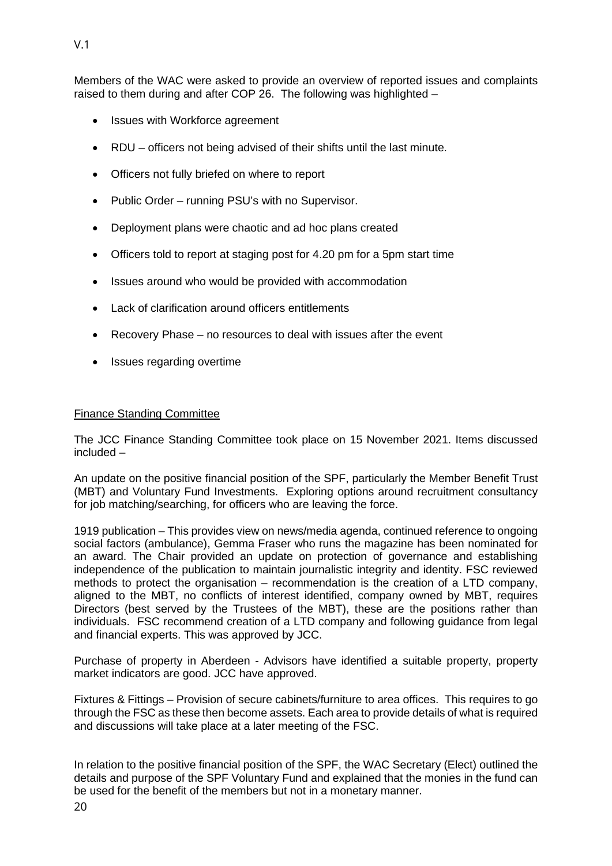Members of the WAC were asked to provide an overview of reported issues and complaints raised to them during and after COP 26. The following was highlighted –

- Issues with Workforce agreement
- RDU officers not being advised of their shifts until the last minute.
- Officers not fully briefed on where to report
- Public Order running PSU's with no Supervisor.
- Deployment plans were chaotic and ad hoc plans created
- Officers told to report at staging post for 4.20 pm for a 5pm start time
- Issues around who would be provided with accommodation
- Lack of clarification around officers entitlements
- Recovery Phase no resources to deal with issues after the event
- Issues regarding overtime

## Finance Standing Committee

The JCC Finance Standing Committee took place on 15 November 2021. Items discussed included –

An update on the positive financial position of the SPF, particularly the Member Benefit Trust (MBT) and Voluntary Fund Investments. Exploring options around recruitment consultancy for job matching/searching, for officers who are leaving the force.

1919 publication – This provides view on news/media agenda, continued reference to ongoing social factors (ambulance), Gemma Fraser who runs the magazine has been nominated for an award. The Chair provided an update on protection of governance and establishing independence of the publication to maintain journalistic integrity and identity. FSC reviewed methods to protect the organisation – recommendation is the creation of a LTD company, aligned to the MBT, no conflicts of interest identified, company owned by MBT, requires Directors (best served by the Trustees of the MBT), these are the positions rather than individuals. FSC recommend creation of a LTD company and following guidance from legal and financial experts. This was approved by JCC.

Purchase of property in Aberdeen - Advisors have identified a suitable property, property market indicators are good. JCC have approved.

Fixtures & Fittings – Provision of secure cabinets/furniture to area offices. This requires to go through the FSC as these then become assets. Each area to provide details of what is required and discussions will take place at a later meeting of the FSC.

In relation to the positive financial position of the SPF, the WAC Secretary (Elect) outlined the details and purpose of the SPF Voluntary Fund and explained that the monies in the fund can be used for the benefit of the members but not in a monetary manner.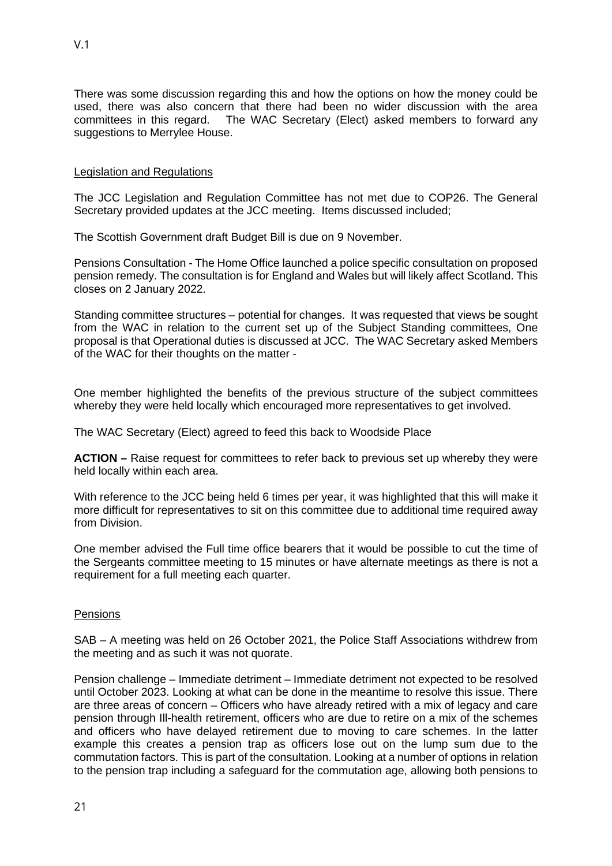There was some discussion regarding this and how the options on how the money could be used, there was also concern that there had been no wider discussion with the area committees in this regard. The WAC Secretary (Elect) asked members to forward any suggestions to Merrylee House.

## Legislation and Regulations

The JCC Legislation and Regulation Committee has not met due to COP26. The General Secretary provided updates at the JCC meeting. Items discussed included;

The Scottish Government draft Budget Bill is due on 9 November.

Pensions Consultation - The Home Office launched a police specific consultation on proposed pension remedy. The consultation is for England and Wales but will likely affect Scotland. This closes on 2 January 2022.

Standing committee structures – potential for changes. It was requested that views be sought from the WAC in relation to the current set up of the Subject Standing committees, One proposal is that Operational duties is discussed at JCC. The WAC Secretary asked Members of the WAC for their thoughts on the matter -

One member highlighted the benefits of the previous structure of the subject committees whereby they were held locally which encouraged more representatives to get involved.

The WAC Secretary (Elect) agreed to feed this back to Woodside Place

**ACTION –** Raise request for committees to refer back to previous set up whereby they were held locally within each area.

With reference to the JCC being held 6 times per year, it was highlighted that this will make it more difficult for representatives to sit on this committee due to additional time required away from Division.

One member advised the Full time office bearers that it would be possible to cut the time of the Sergeants committee meeting to 15 minutes or have alternate meetings as there is not a requirement for a full meeting each quarter.

## **Pensions**

SAB – A meeting was held on 26 October 2021, the Police Staff Associations withdrew from the meeting and as such it was not quorate.

Pension challenge – Immediate detriment – Immediate detriment not expected to be resolved until October 2023. Looking at what can be done in the meantime to resolve this issue. There are three areas of concern – Officers who have already retired with a mix of legacy and care pension through Ill-health retirement, officers who are due to retire on a mix of the schemes and officers who have delayed retirement due to moving to care schemes. In the latter example this creates a pension trap as officers lose out on the lump sum due to the commutation factors. This is part of the consultation. Looking at a number of options in relation to the pension trap including a safeguard for the commutation age, allowing both pensions to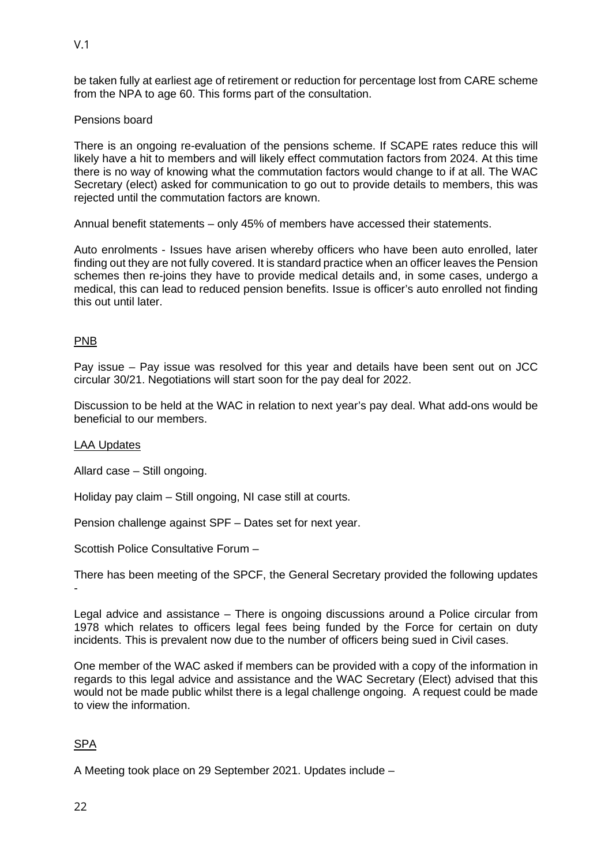be taken fully at earliest age of retirement or reduction for percentage lost from CARE scheme from the NPA to age 60. This forms part of the consultation.

## Pensions board

There is an ongoing re-evaluation of the pensions scheme. If SCAPE rates reduce this will likely have a hit to members and will likely effect commutation factors from 2024. At this time there is no way of knowing what the commutation factors would change to if at all. The WAC Secretary (elect) asked for communication to go out to provide details to members, this was rejected until the commutation factors are known.

Annual benefit statements – only 45% of members have accessed their statements.

Auto enrolments - Issues have arisen whereby officers who have been auto enrolled, later finding out they are not fully covered. It is standard practice when an officer leaves the Pension schemes then re-joins they have to provide medical details and, in some cases, undergo a medical, this can lead to reduced pension benefits. Issue is officer's auto enrolled not finding this out until later.

## PNB

Pay issue – Pay issue was resolved for this year and details have been sent out on JCC circular 30/21. Negotiations will start soon for the pay deal for 2022.

Discussion to be held at the WAC in relation to next year's pay deal. What add-ons would be beneficial to our members.

#### LAA Updates

Allard case – Still ongoing.

Holiday pay claim – Still ongoing, NI case still at courts.

Pension challenge against SPF – Dates set for next year.

Scottish Police Consultative Forum –

There has been meeting of the SPCF, the General Secretary provided the following updates -

Legal advice and assistance – There is ongoing discussions around a Police circular from 1978 which relates to officers legal fees being funded by the Force for certain on duty incidents. This is prevalent now due to the number of officers being sued in Civil cases.

One member of the WAC asked if members can be provided with a copy of the information in regards to this legal advice and assistance and the WAC Secretary (Elect) advised that this would not be made public whilst there is a legal challenge ongoing. A request could be made to view the information.

## SPA

A Meeting took place on 29 September 2021. Updates include –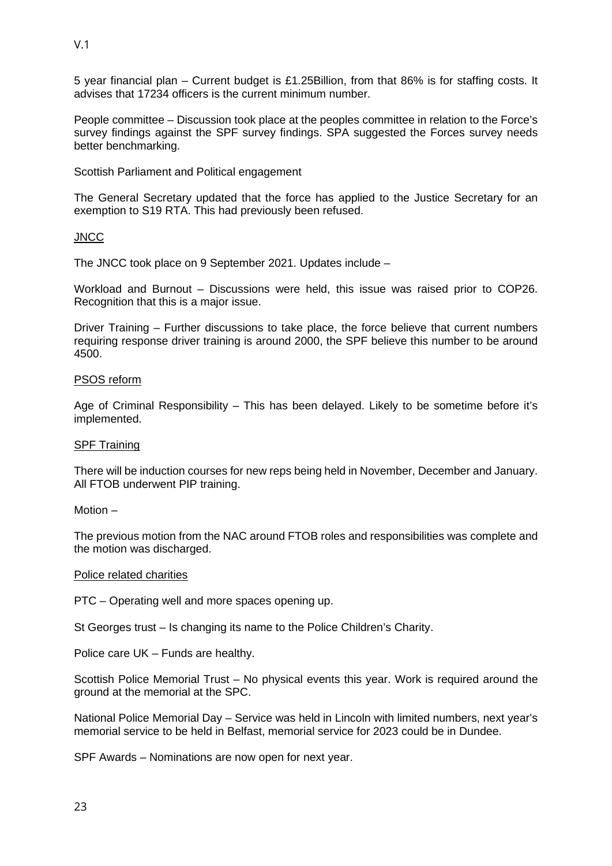5 year financial plan – Current budget is £1.25Billion, from that 86% is for staffing costs. It advises that 17234 officers is the current minimum number.

People committee – Discussion took place at the peoples committee in relation to the Force's survey findings against the SPF survey findings. SPA suggested the Forces survey needs better benchmarking.

Scottish Parliament and Political engagement

The General Secretary updated that the force has applied to the Justice Secretary for an exemption to S19 RTA. This had previously been refused.

## **JNCC**

The JNCC took place on 9 September 2021. Updates include –

Workload and Burnout – Discussions were held, this issue was raised prior to COP26. Recognition that this is a major issue.

Driver Training – Further discussions to take place, the force believe that current numbers requiring response driver training is around 2000, the SPF believe this number to be around 4500.

## PSOS reform

Age of Criminal Responsibility – This has been delayed. Likely to be sometime before it's implemented.

## SPF Training

There will be induction courses for new reps being held in November, December and January. All FTOB underwent PIP training.

Motion –

The previous motion from the NAC around FTOB roles and responsibilities was complete and the motion was discharged.

## Police related charities

PTC – Operating well and more spaces opening up.

St Georges trust – Is changing its name to the Police Children's Charity.

Police care UK – Funds are healthy.

Scottish Police Memorial Trust – No physical events this year. Work is required around the ground at the memorial at the SPC.

National Police Memorial Day – Service was held in Lincoln with limited numbers, next year's memorial service to be held in Belfast, memorial service for 2023 could be in Dundee.

SPF Awards – Nominations are now open for next year.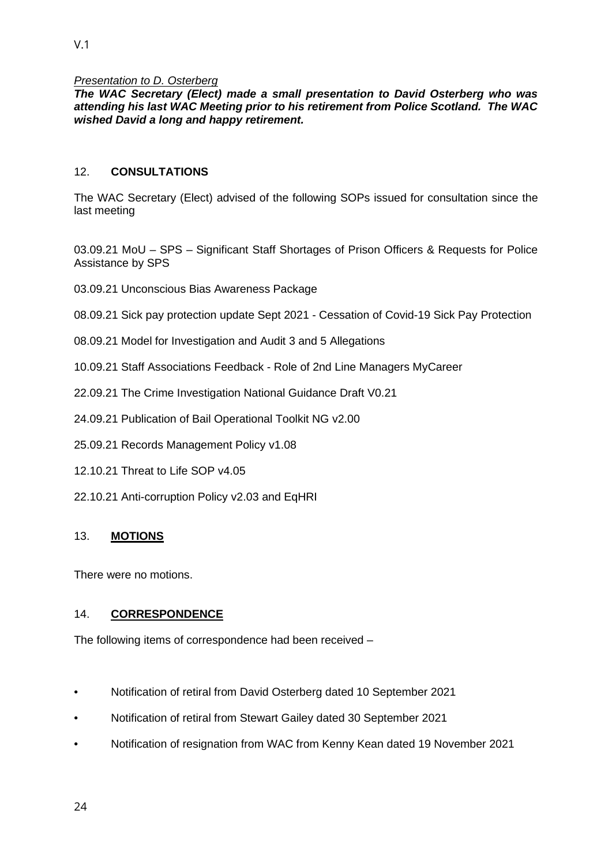#### *Presentation to D. Osterberg*

*The WAC Secretary (Elect) made a small presentation to David Osterberg who was attending his last WAC Meeting prior to his retirement from Police Scotland. The WAC wished David a long and happy retirement.* 

## 12. **CONSULTATIONS**

The WAC Secretary (Elect) advised of the following SOPs issued for consultation since the last meeting

03.09.21 MoU – SPS – Significant Staff Shortages of Prison Officers & Requests for Police Assistance by SPS

03.09.21 Unconscious Bias Awareness Package

08.09.21 Sick pay protection update Sept 2021 - Cessation of Covid-19 Sick Pay Protection

- 08.09.21 Model for Investigation and Audit 3 and 5 Allegations
- 10.09.21 Staff Associations Feedback Role of 2nd Line Managers MyCareer
- 22.09.21 The Crime Investigation National Guidance Draft V0.21
- 24.09.21 Publication of Bail Operational Toolkit NG v2.00
- 25.09.21 Records Management Policy v1.08
- 12.10.21 Threat to Life SOP v4.05
- 22.10.21 Anti-corruption Policy v2.03 and EqHRI

## 13. **MOTIONS**

There were no motions.

#### 14. **CORRESPONDENCE**

The following items of correspondence had been received –

- Notification of retiral from David Osterberg dated 10 September 2021
- Notification of retiral from Stewart Gailey dated 30 September 2021
- Notification of resignation from WAC from Kenny Kean dated 19 November 2021